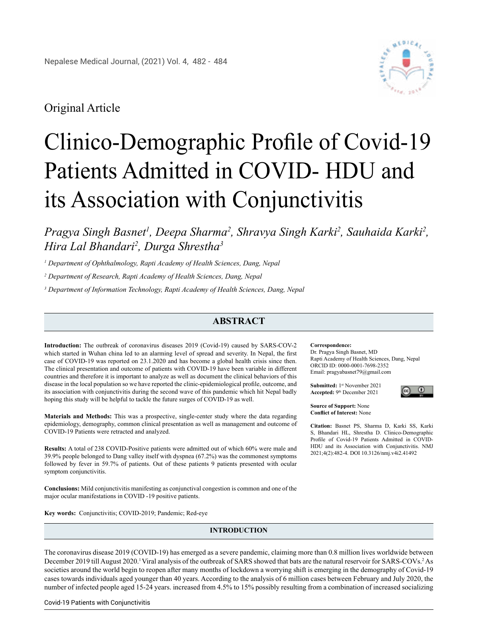

# Original Article

# Clinico-Demographic Profile of Covid-19 Patients Admitted in COVID- HDU and its Association with Conjunctivitis

Pragya Singh Basnet<sup>1</sup>, Deepa Sharma<sup>2</sup>, Shravya Singh Karki<sup>2</sup>, Sauhaida Karki<sup>2</sup>, *Hira Lal Bhandari2 , Durga Shrestha3*

*1 Department of Ophthalmology, Rapti Academy of Health Sciences, Dang, Nepal*

*2 Department of Research, Rapti Academy of Health Sciences, Dang, Nepal*

*3 Department of Information Technology, Rapti Academy of Health Sciences, Dang, Nepal*

## **ABSTRACT**

**Introduction:** The outbreak of coronavirus diseases 2019 (Covid-19) caused by SARS-COV-2 which started in Wuhan china led to an alarming level of spread and severity. In Nepal, the first case of COVID-19 was reported on 23.1.2020 and has become a global health crisis since then. The clinical presentation and outcome of patients with COVID-19 have been variable in different countries and therefore it is important to analyze as well as document the clinical behaviors of this disease in the local population so we have reported the clinic-epidemiological profile, outcome, and its association with conjunctivitis during the second wave of this pandemic which hit Nepal badly hoping this study will be helpful to tackle the future surges of COVID-19 as well.

**Materials and Methods:** This was a prospective, single-center study where the data regarding epidemiology, demography, common clinical presentation as well as management and outcome of COVID-19 Patients were retracted and analyzed.

**Results:** A total of 238 COVID-Positive patients were admitted out of which 60% were male and 39.9% people belonged to Dang valley itself with dyspnea (67.2%) was the commonest symptoms followed by fever in 59.7% of patients. Out of these patients 9 patients presented with ocular symptom conjunctivitis.

**Conclusions:** Mild conjunctivitis manifesting as conjunctival congestion is common and one of the major ocular manifestations in COVID -19 positive patients.

**Key words:** Conjunctivitis; COVID-2019; Pandemic; Red-eye

### **INTRODUCTION**

The coronavirus disease 2019 (COVID-19) has emerged as a severe pandemic, claiming more than 0.8 million lives worldwide between December 2019 till August 2020.<sup>1</sup> Viral analysis of the outbreak of SARS showed that bats are the natural reservoir for SARS-COVs.<sup>2</sup> As societies around the world begin to reopen after many months of lockdown a worrying shift is emerging in the demography of Covid-19 cases towards individuals aged younger than 40 years. According to the analysis of 6 million cases between February and July 2020, the number of infected people aged 15-24 years. increased from 4.5% to 15% possibly resulting from a combination of increased socializing

#### **Correspondence:**

Dr. Pragya Singh Basnet, MD Rapti Academy of Health Sciences, Dang, Nepal ORCID ID: 0000-0001-7698-2352 Email: [pragyabasnet79@gmail.com](mailto:pragyabasnet79@gmail.com)

**Submitted:** 1st November 2021 **Accepted:** 9th December 2021



**Source of Support:** None **Conflict of Interest:** None

**Citation:** Basnet PS, Sharma D, Karki SS, Karki S, Bhandari HL, Shrestha D. Clinico-Demographic Profile of Covid-19 Patients Admitted in COVID-HDU and its Association with Conjunctivitis. NMJ 2021;4(2):482-4. DOI 10.3126/nmj.v4i2.41492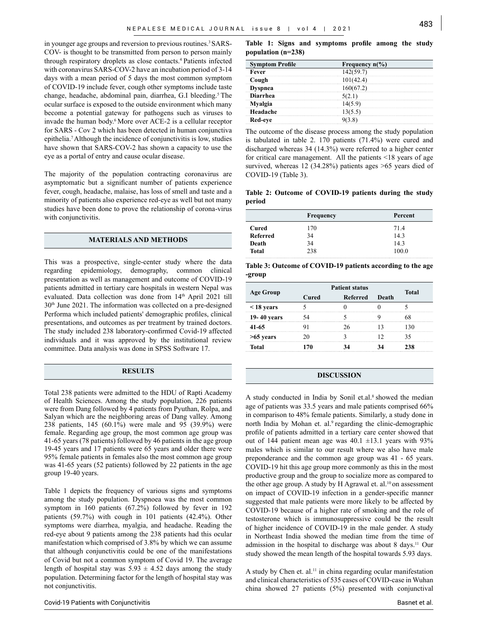in younger age groups and reversion to previous routines.<sup>3</sup> SARS-COV- is thought to be transmitted from person to person mainly through respiratory droplets as close contacts.4 Patients infected with coronavirus SARS-COV-2 have an incubation period of 3-14 days with a mean period of 5 days the most common symptom of COVID-19 include fever, cough other symptoms include taste change, headache, abdominal pain, diarrhea, G.I bleeding.<sup>5</sup> The ocular surface is exposed to the outside environment which many become a potential gateway for pathogens such as viruses to invade the human body.<sup>6</sup> More over ACE-2 is a cellular receptor for SARS - Cov 2 which has been detected in human conjunctiva epithelia.7 Although the incidence of conjunctivitis is low, studies have shown that SARS-COV-2 has shown a capacity to use the eye as a portal of entry and cause ocular disease.

The majority of the population contracting coronavirus are asymptomatic but a significant number of patients experience fever, cough, headache, malaise, has loss of smell and taste and a minority of patients also experience red-eye as well but not many studies have been done to prove the relationship of corona-virus with conjunctivitis.

### **MATERIALS AND METHODS**

This was a prospective, single-center study where the data regarding epidemiology, demography, common clinical presentation as well as management and outcome of COVID-19 patients admitted in tertiary care hospitals in western Nepal was evaluated. Data collection was done from 14<sup>th</sup> April 2021 till 30th June 2021. The information was collected on a pre-designed Performa which included patients' demographic profiles, clinical presentations, and outcomes as per treatment by trained doctors. The study included 238 laboratory-confirmed Covid-19 affected individuals and it was approved by the institutional review committee. Data analysis was done in SPSS Software 17.

#### **RESULTS**

Total 238 patients were admitted to the HDU of Rapti Academy of Health Sciences. Among the study population, 226 patients were from Dang followed by 4 patients from Pyuthan, Rolpa, and Salyan which are the neighboring areas of Dang valley. Among 238 patients, 145 (60.1%) were male and 95 (39.9%) were female. Regarding age group, the most common age group was 41-65 years (78 patients) followed by 46 patients in the age group 19-45 years and 17 patients were 65 years and older there were 95% female patients in females also the most common age group was 41-65 years (52 patients) followed by 22 patients in the age group 19-40 years.

Table 1 depicts the frequency of various signs and symptoms among the study population. Dyspnoea was the most common symptom in 160 patients (67.2%) followed by fever in 192 patients (59.7%) with cough in 101 patients (42.4%). Other symptoms were diarrhea, myalgia, and headache. Reading the red-eye about 9 patients among the 238 patients had this ocular manifestation which comprised of 3.8% by which we can assume that although conjunctivitis could be one of the manifestations of Covid but not a common symptom of Covid 19. The average length of hospital stay was  $5.93 \pm 4.52$  days among the study population. Determining factor for the length of hospital stay was not conjunctivitis.

**Table 1: Signs and symptoms profile among the study population (n=238)**

| <b>Symptom Profile</b> | Frequency $n\llap/$ <sub>0</sub> ) |
|------------------------|------------------------------------|
| Fever                  | 142(59.7)                          |
| Cough                  |                                    |
| )vspnea                |                                    |
| <b>Diarrhea</b>        |                                    |
| <b>Myalgia</b>         |                                    |
| Headache               |                                    |
| Red-eve                |                                    |

The outcome of the disease process among the study population is tabulated in table 2. 170 patients (71.4%) were cured and discharged whereas 34 (14.3%) were referred to a higher center for critical care management. All the patients <18 years of age survived, whereas 12 (34.28%) patients ages >65 years died of COVID-19 (Table 3).

**Table 2: Outcome of COVID-19 patients during the study period**

|                 | Frequency | Percent |
|-----------------|-----------|---------|
| Cured           | 170       | 71.4    |
| <b>Referred</b> | 34        | 14.3    |
| Death           | 34        | 14.3    |
| <b>Total</b>    | 238       | 100.0   |

**Table 3: Outcome of COVID-19 patients according to the age -group**

| <b>Age Group</b> | <b>Patient status</b> | <b>Total</b>    |       |     |
|------------------|-----------------------|-----------------|-------|-----|
|                  | Cured                 | <b>Referred</b> | Death |     |
| $\leq$ 18 years  |                       |                 |       |     |
| 19-40 vears      |                       |                 |       |     |
| 41-65            |                       |                 |       |     |
| $>65$ vears      |                       |                 |       |     |
| Total            |                       |                 |       | 138 |

#### **DISCUSSION**

A study conducted in India by Sonil et.al.<sup>8</sup> showed the median age of patients was 33.5 years and male patients comprised 66% in comparison to 48% female patients. Similarly, a study done in north India by Mohan et. al.<sup>9</sup> regarding the clinic-demographic profile of patients admitted in a tertiary care center showed that out of 144 patient mean age was  $40.1 \pm 13.1$  years with 93% males which is similar to our result where we also have male preponderance and the common age group was 41 - 65 years. COVID-19 hit this age group more commonly as this in the most productive group and the group to socialize more as compared to the other age group. A study by H Agrawal et. al.<sup>10</sup> on assessment on impact of COVID-19 infection in a gender-specific manner suggested that male patients were more likely to be affected by COVID-19 because of a higher rate of smoking and the role of testosterone which is immunosuppressive could be the result of higher incidence of COVID-19 in the male gender. A study in Northeast India showed the median time from the time of admission in the hospital to discharge was about 8 days.11 Our study showed the mean length of the hospital towards 5.93 days.

A study by Chen et. al.<sup>11</sup> in china regarding ocular manifestation and clinical characteristics of 535 cases of COVID-case in Wuhan china showed 27 patients (5%) presented with conjunctival